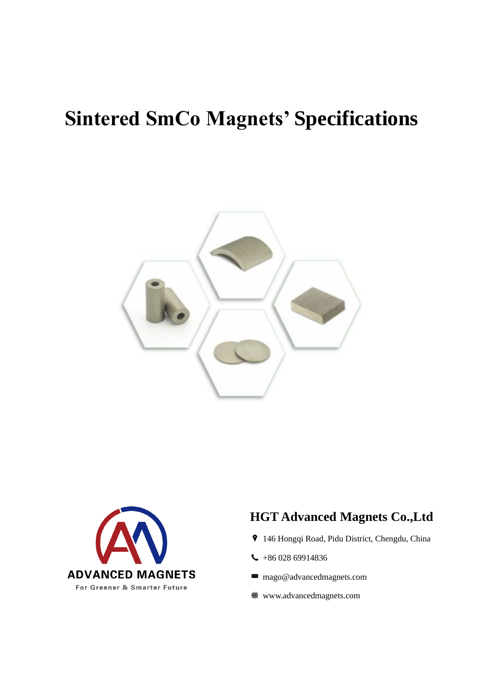## **Sintered SmCo Magnets' Specifications**





## **HGT Advanced Magnets Co.,Ltd**

- 146 Hongqi Road, Pidu District, Chengdu, China
- $\leftarrow$  +86 028 69914836
- mago@advancedmagnets.com
- www.advancedmagnets.com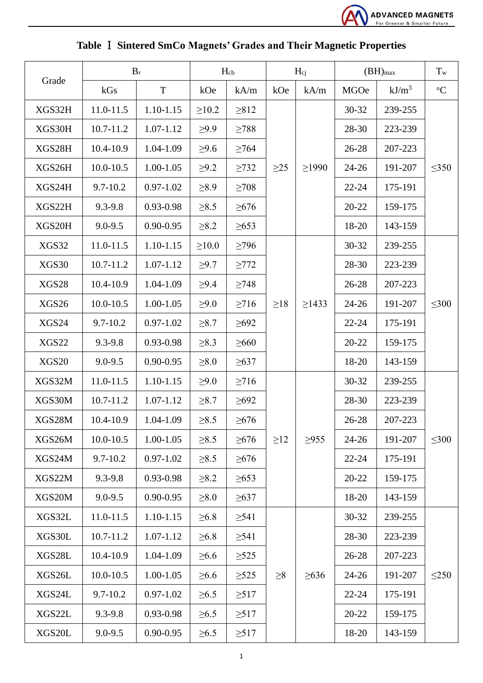

|  | Table I Sintered SmCo Magnets' Grades and Their Magnetic Properties |  |  |
|--|---------------------------------------------------------------------|--|--|
|  |                                                                     |  |  |

|              | $B_r$         |               | $H_{cb}$    |            | $H_{ci}$  |             | $(BH)_{max}$ |          | $T_{w}$     |
|--------------|---------------|---------------|-------------|------------|-----------|-------------|--------------|----------|-------------|
| Grade        | kGs           | $\mathbf T$   | kOe         | kA/m       | kOe       | kA/m        | <b>MGOe</b>  | $kJ/m^3$ | $^{\circ}C$ |
| XGS32H       | 11.0-11.5     | $1.10 - 1.15$ | $\geq 10.2$ | $\geq 812$ |           |             | 30-32        | 239-255  | $\leq 350$  |
| XGS30H       | $10.7 - 11.2$ | 1.07-1.12     | $\geq 9.9$  | $\geq$ 788 |           | $\geq$ 1990 | 28-30        | 223-239  |             |
| XGS28H       | 10.4-10.9     | 1.04-1.09     | $\geq 9.6$  | $\geq 764$ |           |             | 26-28        | 207-223  |             |
| XGS26H       | $10.0 - 10.5$ | 1.00-1.05     | $\geq 9.2$  | $\geq$ 732 | $\geq$ 25 |             | $24 - 26$    | 191-207  |             |
| XGS24H       | $9.7 - 10.2$  | $0.97 - 1.02$ | $\geq 8.9$  | $\geq$ 708 |           |             | $22 - 24$    | 175-191  |             |
| XGS22H       | 9.3-9.8       | 0.93-0.98     | $\geq 8.5$  | $\geq 676$ |           |             | $20 - 22$    | 159-175  |             |
| XGS20H       | $9.0 - 9.5$   | $0.90 - 0.95$ | $\geq 8.2$  | $\geq 653$ |           |             | 18-20        | 143-159  |             |
| XGS32        | 11.0-11.5     | 1.10-1.15     | $\geq 10.0$ | $\geq$ 796 |           |             | 30-32        | 239-255  | $\leq 300$  |
| XGS30        | $10.7 - 11.2$ | 1.07-1.12     | $\geq 9.7$  | $\geq$ 772 |           |             | 28-30        | 223-239  |             |
| <b>XGS28</b> | 10.4-10.9     | 1.04-1.09     | $\geq 9.4$  | $\geq$ 748 |           |             | 26-28        | 207-223  |             |
| <b>XGS26</b> | $10.0 - 10.5$ | 1.00-1.05     | $\geq 9.0$  | $\geq$ 716 | $\geq$ 18 | $\geq$ 1433 | $24 - 26$    | 191-207  |             |
| XGS24        | $9.7 - 10.2$  | $0.97 - 1.02$ | $\geq 8.7$  | $\geq 692$ |           |             | $22 - 24$    | 175-191  |             |
| <b>XGS22</b> | 9.3-9.8       | 0.93-0.98     | $\geq 8.3$  | $\geq 660$ |           |             | $20 - 22$    | 159-175  |             |
| <b>XGS20</b> | $9.0 - 9.5$   | $0.90 - 0.95$ | $\geq 8.0$  | $\geq 637$ |           |             | 18-20        | 143-159  |             |
| XGS32M       | 11.0-11.5     | 1.10-1.15     | $\geq 9.0$  | $\geq$ 716 |           |             | 30-32        | 239-255  | $\leq 300$  |
| XGS30M       | $10.7 - 11.2$ | 1.07-1.12     | $\geq 8.7$  | $\geq 692$ |           | $\geq$ 955  | 28-30        | 223-239  |             |
| XGS28M       | 10.4-10.9     | 1.04-1.09     | $\geq 8.5$  | $\geq 676$ |           |             | 26-28        | 207-223  |             |
| XGS26M       | $10.0 - 10.5$ | $1.00 - 1.05$ | $\geq 8.5$  | $\geq 676$ | $\geq$ 12 |             | $24 - 26$    | 191-207  |             |
| XGS24M       | $9.7 - 10.2$  | $0.97 - 1.02$ | $\geq 8.5$  | $\geq 676$ |           |             | $22 - 24$    | 175-191  |             |
| XGS22M       | $9.3 - 9.8$   | 0.93-0.98     | $\geq 8.2$  | $\geq 653$ |           |             | 20-22        | 159-175  |             |
| XGS20M       | $9.0 - 9.5$   | $0.90 - 0.95$ | $\geq 8.0$  | $\geq 637$ |           |             | 18-20        | 143-159  |             |
| XGS32L       | 11.0-11.5     | 1.10-1.15     | $\geq 6.8$  | $\geq 541$ |           |             | $30 - 32$    | 239-255  |             |
| XGS30L       | 10.7-11.2     | 1.07-1.12     | $\geq 6.8$  | $\geq 541$ | $\geq 8$  |             | 28-30        | 223-239  | $\leq$ 250  |
| XGS28L       | 10.4-10.9     | 1.04-1.09     | $\geq 6.6$  | $\geq$ 525 |           |             | 26-28        | 207-223  |             |
| XGS26L       | $10.0 - 10.5$ | 1.00-1.05     | $\geq 6.6$  | $\geq$ 525 |           | $\geq 636$  | $24 - 26$    | 191-207  |             |
| XGS24L       | $9.7 - 10.2$  | $0.97 - 1.02$ | $\geq 6.5$  | $\geq$ 517 |           |             | $22 - 24$    | 175-191  |             |
| XGS22L       | $9.3 - 9.8$   | 0.93-0.98     | $\geq 6.5$  | $\geq$ 517 |           |             | 20-22        | 159-175  |             |
| XGS20L       | $9.0 - 9.5$   | $0.90 - 0.95$ | $\geq 6.5$  | $\geq$ 517 |           |             | 18-20        | 143-159  |             |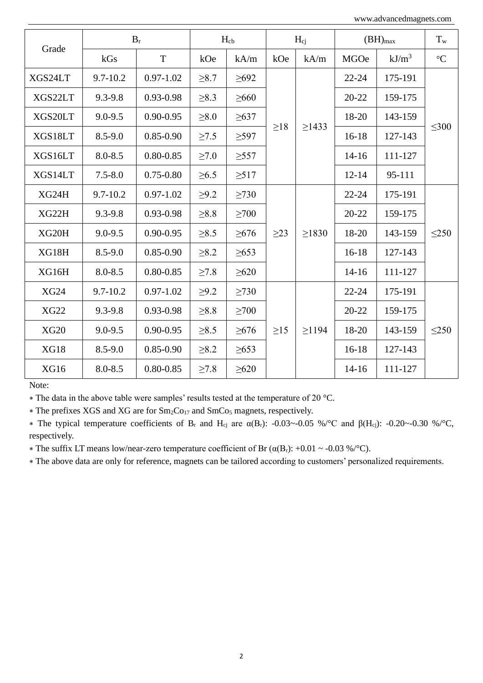www.advancedmagnets.com

|             | $B_r$        |               | $H_{cb}$   |            | $H_{ci}$  |             | $(BH)_{max}$ |           | $T_{w}$         |
|-------------|--------------|---------------|------------|------------|-----------|-------------|--------------|-----------|-----------------|
| Grade       | kGs          | T             | kOe        | kA/m       | kOe       | kA/m        | <b>MGOe</b>  | $kJ/m^3$  | $\rm ^{\circ}C$ |
| XGS24LT     | $9.7 - 10.2$ | $0.97 - 1.02$ | $\geq 8.7$ | $\geq 692$ | $\geq$ 18 |             | $22 - 24$    | 175-191   | $\leq 300$      |
| XGS22LT     | $9.3 - 9.8$  | $0.93 - 0.98$ | $\geq 8.3$ | $\geq 660$ |           | $\geq$ 1433 | $20 - 22$    | 159-175   |                 |
| XGS20LT     | $9.0 - 9.5$  | $0.90 - 0.95$ | $\geq 8.0$ | $\geq 637$ |           |             | 18-20        | 143-159   |                 |
| XGS18LT     | $8.5 - 9.0$  | $0.85 - 0.90$ | $\geq 7.5$ | $\geq$ 597 |           |             | $16-18$      | 127-143   |                 |
| XGS16LT     | $8.0 - 8.5$  | $0.80 - 0.85$ | $\geq 7.0$ | $\geq 557$ |           |             | $14 - 16$    | 111-127   |                 |
| XGS14LT     | $7.5 - 8.0$  | $0.75 - 0.80$ | $\geq 6.5$ | $\geq$ 517 |           |             | $12 - 14$    | 95-111    |                 |
| XG24H       | $9.7 - 10.2$ | $0.97 - 1.02$ | $\geq 9.2$ | $\geq$ 730 |           |             | $22 - 24$    | 175-191   | $\leq$ 250      |
| XG22H       | $9.3 - 9.8$  | 0.93-0.98     | $\geq 8.8$ | $\geq 700$ |           | $\geq 1830$ | $20 - 22$    | 159-175   |                 |
| XG20H       | $9.0 - 9.5$  | $0.90 - 0.95$ | $\geq 8.5$ | $\geq 676$ | $\geq$ 23 |             | 18-20        | 143-159   |                 |
| XG18H       | $8.5 - 9.0$  | $0.85 - 0.90$ | $\geq 8.2$ | $\geq 653$ |           |             | $16 - 18$    | 127-143   |                 |
| XG16H       | $8.0 - 8.5$  | $0.80 - 0.85$ | $\geq 7.8$ | $\geq 620$ |           |             | $14 - 16$    | 111-127   |                 |
| <b>XG24</b> | $9.7 - 10.2$ | $0.97 - 1.02$ | $\geq 9.2$ | $\geq$ 730 |           |             | $22 - 24$    | 175-191   | $\leq$ 250      |
| <b>XG22</b> | $9.3 - 9.8$  | 0.93-0.98     | $\geq 8.8$ | >700       | $\geq$ 15 |             | $20 - 22$    | 159-175   |                 |
| <b>XG20</b> | $9.0 - 9.5$  | $0.90 - 0.95$ | $\geq 8.5$ | $\geq 676$ |           | >1194       | 18-20        | 143-159   |                 |
| <b>XG18</b> | $8.5 - 9.0$  | $0.85 - 0.90$ | $\geq 8.2$ | $\geq 653$ |           |             | $16-18$      | 127-143   |                 |
| <b>XG16</b> | $8.0 - 8.5$  | $0.80 - 0.85$ | $\geq 7.8$ | $\geq 620$ |           |             |              | $14 - 16$ | 111-127         |

Note:

∗ The data in the above table were samples' results tested at the temperature of 20 °C.

∗ The prefixes XGS and XG are for Sm2Co<sup>17</sup> and SmCo<sup>5</sup> magnets, respectively.

 $*$  The typical temperature coefficients of B<sub>r</sub> and H<sub>cj</sub> are α(B<sub>r</sub>): -0.03~-0.05 %/°C and β(H<sub>cj</sub>): -0.20~-0.30 %/°C, respectively.

∗ The suffix LT means low/near-zero temperature coefficient of Br (α(Br): +0.01 ~ -0.03 %/°C).

∗ The above data are only for reference, magnets can be tailored according to customers' personalized requirements.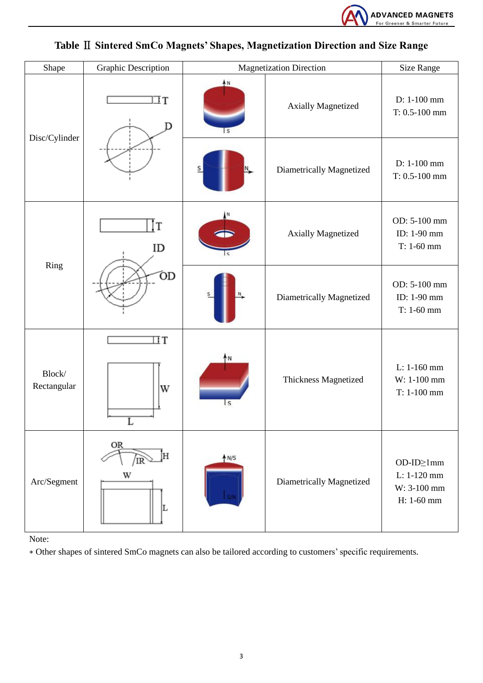

| Shape                 | <b>Graphic Description</b> | <b>Magnetization Direction</b> | <b>Size Range</b>         |                                                       |
|-----------------------|----------------------------|--------------------------------|---------------------------|-------------------------------------------------------|
|                       | IΤ                         | AN<br>'S                       | <b>Axially Magnetized</b> | D: 1-100 mm<br>$T: 0.5 - 100$ mm                      |
| Disc/Cylinder         |                            |                                | Diametrically Magnetized  | D: 1-100 mm<br>$T: 0.5-100$ mm                        |
|                       | ID                         |                                | <b>Axially Magnetized</b> | OD: 5-100 mm<br>ID: 1-90 mm<br>$T: 1-60$ mm           |
| Ring                  | ÓD                         |                                | Diametrically Magnetized  | OD: 5-100 mm<br>ID: 1-90 mm<br>$T: 1-60$ mm           |
| Block/<br>Rectangular | $\Box$ T<br>W              | 'N<br>S                        | Thickness Magnetized      | L: 1-160 mm<br>W: 1-100 mm<br>$T: 1-100$ mm           |
| Arc/Segment           | <b>OR</b><br>W             | AN/S                           | Diametrically Magnetized  | OD-ID≥1mm<br>L: 1-120 mm<br>W: 3-100 mm<br>H: 1-60 mm |

## **Table** Ⅱ **Sintered SmCo Magnets' Shapes, Magnetization Direction and Size Range**

Note:

∗ Other shapes of sintered SmCo magnets can also be tailored according to customers' specific requirements.